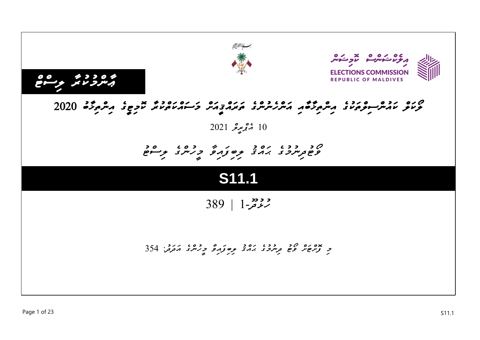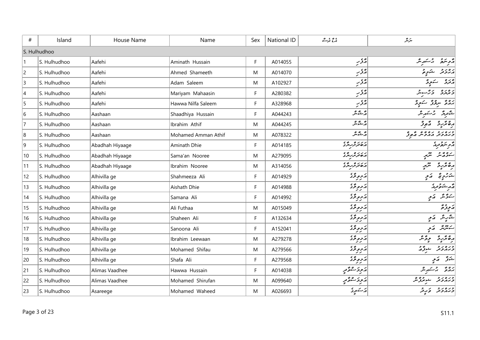| #                | Island       | House Name      | Name                | Sex       | National ID | ، ه ، ره<br>مر، مر                     | ىئرىتر                                |
|------------------|--------------|-----------------|---------------------|-----------|-------------|----------------------------------------|---------------------------------------|
|                  | S. Hulhudhoo |                 |                     |           |             |                                        |                                       |
|                  | S. Hulhudhoo | Aafehi          | Aminath Hussain     | F         | A014055     | پروس                                   | أأدوسم بالمستمر المحمد                |
| $ 2\rangle$      | S. Hulhudhoo | Aafehi          | Ahmed Shameeth      | M         | A014070     | پروس                                   | د ه د د کشور د                        |
| $\overline{3}$   | S. Hulhudhoo | Aafehi          | Adam Saleem         | M         | A102927     | پەير<br>مەقرىر                         | ړنو خود                               |
| 4                | S. Hulhudhoo | Aafehi          | Mariyam Mahaasin    | F         | A280382     | لمجرمح سر                              | أدەرە رۇسىر                           |
| 5                | S. Hulhudhoo | Aafehi          | Hawwa Nilfa Saleem  | F         | A328968     | پري<br>مرکز <sub>سر</sub>              | يَهُمَّ سَرْجَزَ سَوِدْ               |
| $\sqrt{6}$       | S. Hulhudhoo | Aashaan         | Shaadhiya Hussain   | F         | A044243     | ۇ مەممىر<br>مەسىئە مىر                 | شەرىر ئەسىر سىر                       |
| $\overline{7}$   | S. Hulhudhoo | Aashaan         | Ibrahim Athif       | ${\sf M}$ | A044245     | ر<br>مرڪسمبر                           |                                       |
| 8                | S. Hulhudhoo | Aashaan         | Mohamed Amman Athif | M         | A078322     | ر<br>مرڪس <b>گر</b>                    |                                       |
| $\boldsymbol{9}$ | S. Hulhudhoo | Abadhah Hiyaage | Aminath Dhie        | F         | A014185     | ر ر ر ه<br>پرېفر شریر پر د             | اړ <sub>س</sub> و سره مره<br>م        |
| 10               | S. Hulhudhoo | Abadhah Hiyaage | Sama'an Nooree      | ${\sf M}$ | A279095     | ر ر ر ه<br>پرېفرمربر <del>ز</del>      | ئەۋە ئەر<br>لترمير                    |
| 11               | S. Hulhudhoo | Abadhah Hiyaage | Ibrahim Nooree      | ${\sf M}$ | A314056     | ر ر ر ه ر په<br>د ځونر پر              | ا پرځمتر پرو<br>سرچينې<br>لتربير      |
| 12               | S. Hulhudhoo | Alhivilla ge    | Shahmeeza Ali       | F         | A014929     | د کرو څرنگه<br>مرم                     | شركرديج أركمو                         |
| 13               | S. Hulhudhoo | Alhivilla ge    | Aishath Dhie        | F         | A014988     | د د و د د ،<br>مرد و د د               | د مشخصي درج<br>مرسستوجود              |
| 14               | S. Hulhudhoo | Alhivilla ge    | Samana Ali          | F         | A014992     | ر<br>د عرونژی                          | سەۋىئە<br>رځمن                        |
| 15               | S. Hulhudhoo | Alhivilla ge    | Ali Futhaa          | ${\sf M}$ | A015049     | ر<br>مربر مربح د                       | لەردە                                 |
| 16               | S. Hulhudhoo | Alhivilla ge    | Shaheen Ali         | F         | A132634     | ړ ره د د د                             | ئەھمەر يىر<br>ەتە                     |
| 17               | S. Hulhudhoo | Alhivilla ge    | Sanoona Ali         | F         | A152041     | ړ ره وگړي<br>مرم                       | سەھرىش كەيجە                          |
| 18               | S. Hulhudhoo | Alhivilla ge    | Ibrahim Leewaan     | M         | A279278     | ەكمەرە ئۇ                              | ەر ھەترىر <i>ۋ</i>                    |
| 19               | S. Hulhudhoo | Alhivilla ge    | Mohamed Shifau      | M         | A279566     | ر<br>د نو ه و ژی                       | و رە ر د<br><i>د بە</i> پەر<br>شوگر ژ |
| 20               | S. Hulhudhoo | Alhivilla ge    | Shafa Ali           | F         | A279568     | بر دیونژه<br>د ر                       | شرَقَ - مَائِي                        |
| 21               | S. Hulhudhoo | Alimas Vaadhee  | Hawwa Hussain       | F         | A014038     | رَ مركز <sup>0</sup> مۇ م <sub>ۇ</sub> | برەپ بر شهر مى                        |
| 22               | S. Hulhudhoo | Alimas Vaadhee  | Mohamed Shirufan    | M         | A099640     | رَ مركز س <sup>9</sup> ء تر            | ورەر د دور.<br><i>دېرم</i> ونر شەيرۇش |
| 23               | S. Hulhudhoo | Asareege        | Mohamed Waheed      | M         | A026693     | ېر ئەمبرى<br>م                         | ورەر دىرو                             |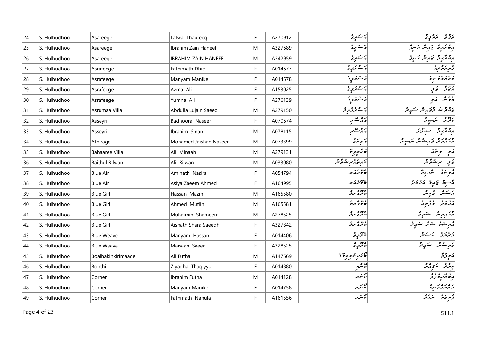| 24 | S. Hulhudhoo | Asareege              | Lafwa Thaufeeq             | F  | A270912 | ېز سه پېړۍ<br>په                            | ره د در<br>فو <i>زه و</i> ړن <sub>و</sub> ژ |
|----|--------------|-----------------------|----------------------------|----|---------|---------------------------------------------|---------------------------------------------|
| 25 | S. Hulhudhoo | Asareege              | Ibrahim Zain Haneef        | M  | A327689 | ېر کے بیری<br>په                            | رەترىر ئەرشىتىر                             |
| 26 | S. Hulhudhoo | Asareege              | <b>IBRAHIM ZAIN HANEEF</b> | M  | A342959 | ېر کے پی <sub>و</sub> ی<br>په               | رەقرىر ئەر مىز ئىبر                         |
| 27 | S. Hulhudhoo | Asrafeege             | Fathimath Dhie             | F  | A014677 | ر صر<br>د س <sup>مب</sup> رن <sub>و</sub> ر | و په په ده د در<br>ترجو چې ترور             |
| 28 | S. Hulhudhoo | Asrafeege             | Mariyam Manike             | F  | A014678 | ىر ھەتئەر <sub>ى</sub> ئ                    | ر ۱۵٫۵ د پر                                 |
| 29 | S. Hulhudhoo | Asrafeege             | Azma Ali                   | F  | A153025 | ىر شەنئەر <sub>ى</sub>                      | أرجيح أركمي                                 |
| 30 | S. Hulhudhoo | Asrafeege             | Yumna Ali                  | F  | A276139 | ىر شەنئەر ئ                                 | أترونثر أربح                                |
| 31 | S. Hulhudhoo | Asrumaa Villa         | Abdulla Lujain Saeed       | M  | A279150 | ە ئەجمۇھەتچە                                | مَصْعَدَاللَّهُ تَحْقَدِيرٌ سَوَيْتُرَ      |
| 32 | S. Hulhudhoo | Asseyri               | Badhoora Naseer            | F  | A070674 | لمروعيمر                                    | ردور سکیبوتر<br>حافرتر سکیبوتر              |
| 33 | S. Hulhudhoo | Asseyri               | Ibrahim Sinan              | M  | A078115 | لره يهمر                                    | رەنزىر سىرتىر                               |
| 34 | S. Hulhudhoo | Athirage              | Mohamed Jaishan Naseer     | M  | A073399 | پرېږي                                       | ورەرو رىرشكى سكب                            |
| 35 | S. Hulhudhoo | <b>Bahaaree Villa</b> | Ali Minaah                 | M  | A279131 | ە ئەبرە ۋ<br>مەسمىر                         | أوسم ويثبة                                  |
| 36 | S. Hulhudhoo | <b>Baithul Rilwan</b> | Ali Rilwan                 | M  | A033080 | ر وه برخور<br>قهره د برخور                  | د د برخوش                                   |
| 37 | S. Hulhudhoo | <b>Blue Air</b>       | Aminath Nasira             | F  | A054794 | ه دد بر بر<br>حنود در بر                    | أروبتهم الترسوند                            |
| 38 | S. Hulhudhoo | <b>Blue Air</b>       | Asiya Zaeem Ahmed          | F  | A164995 | ه دد بر بر<br>حنوبر بر بر                   |                                             |
| 39 | S. Hulhudhoo | <b>Blue Girl</b>      | Hassan Mazin               | M  | A165580 | و دو بر ره<br>ن مو د مرمو                   | بر يمش المجموعة                             |
| 40 | S. Hulhudhoo | <b>Blue Girl</b>      | Ahmed Muflih               | M  | A165581 | و دوره .<br>ن موی بورگ                      | رەرد دەرد                                   |
| 41 | S. Hulhudhoo | <b>Blue Girl</b>      | Muhaimin Shameem           | M  | A278525 | و دو بر په<br>ن مو تر مرمو                  | وزروير خوود                                 |
| 42 | S. Hulhudhoo | <b>Blue Girl</b>      | Aishath Shara Saeedh       | F  | A327842 | و دور.<br>ن موی مورگ                        | د.<br>درخوم خوش خوش                         |
| 43 | S. Hulhudhoo | <b>Blue Weave</b>     | Mariyam Hassan             | F  | A014406 | ه دو ه<br>صخر <sub>مو</sub> و               | دوره برکش                                   |
| 44 | S. Hulhudhoo | <b>Blue Weave</b>     | Maisaan Saeed              | F  | A328525 | ه دو ه<br>صو <sub>يو</sub> و                | ر<br>درگش سور                               |
| 45 | S. Hulhudhoo | Boalhakinkirimaage    | Ali Futha                  | M  | A147669 | ەر<br>ھۆرىدىرىرى                            | ەيپەيى                                      |
| 46 | S. Hulhudhoo | Bonthi                | Ziyadha Thaqiyyu           | F. | A014880 | قة شهجه                                     |                                             |
| 47 | S. Hulhudhoo | Corner                | Ibrahim Futha              | M  | A014128 | ہ<br>بڑ سرپر                                | ە ھەمگەر 23 ھ<br>بەھەمگەر 23 ھ              |
| 48 | S. Hulhudhoo | Corner                | Mariyam Manike             | F  | A014758 | تزيير                                       | أرورور                                      |
| 49 | S. Hulhudhoo | Corner                | Fathmath Nahula            | F  | A161556 | تزيير                                       | و بالمحمد المحمد المحمد المحمد              |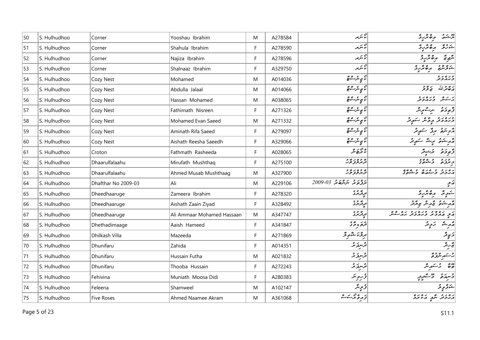| 50 | S. Hulhudhoo | Corner              | Yooshau Ibrahim            | M         | A278584 | ہ<br>مذمتر پر                                  | ڔۿؠٞڔۯ<br>دو در د<br>هرشتون                       |
|----|--------------|---------------------|----------------------------|-----------|---------|------------------------------------------------|---------------------------------------------------|
| 51 | S. Hulhudhoo | Corner              | Shahula Ibrahim            | F         | A278590 | ہ<br>ماسریں                                    | ە ھەترىر <sup>ە</sup><br>شەرىخە                   |
| 52 | S. Hulhudhoo | Corner              | Najiza Ibrahim             | F         | A278596 | ہ<br>مذمتر پر                                  | ە ھەترىر ۋ<br>سَّرْمِع ثَمَّ                      |
| 53 | S. Hulhudhoo | Corner              | Shalnaaz Ibrahim           | F         | A329750 | لأمتزبر                                        | يە 2 مۇج<br>شە <b>ئ</b> رىتىرىنى<br>مەھترىرى      |
| 54 | S. Hulhudhoo | Cozy Nest           | Mohamed                    | ${\sf M}$ | A014036 | م <sub>کم</sub> مرکز عظیم میں<br>              | و ر ه ر و<br>و پر پر <del>و</del> تر              |
| 55 | S. Hulhudhoo | Cozy Nest           | Abdulla Jalaal             | M         | A014066 | م<br>توسي متر مشر <u>م ه</u>                   | أَرَكْ هُ مَرْ أَنْهُ مَنْ تَحْرَ مَرْ            |
| 56 | S. Hulhudhoo | Cozy Nest           | Hassan Mohamed             | M         | A038065 | موسكر مصر<br>  موسكر مصر                       | ير کشور وره د و                                   |
| 57 | S. Hulhudhoo | Cozy Nest           | Fathimath Nisreen          | F         | A271326 | م<br>إن <i>تا مبي مترك هي</i>                  | قەردۇ بىرىمىيىتى                                  |
| 58 | S. Hulhudhoo | Cozy Nest           | Mohamed Evan Saeed         | ${\sf M}$ | A271332 | ء <sub>ک</sub> م یئر شدھ                       | ورەرو رۇش سەر                                     |
| 59 | S. Hulhudhoo | Cozy Nest           | Aminath Rifa Saeed         | F         | A279097 | انتم پر مقرر مقبر<br> <br> <br> <br> <br> <br> | أوجد برقم شرور                                    |
| 60 | S. Hulhudhoo | Cozy Nest           | Aishath Reesha Saeedh      | F         | A329066 | م <sub>م</sub> پر مشروع هم ده به ا             | و<br>ورشوم سيشر سور                               |
| 61 | S. Hulhudhoo | Croton              | Fathmath Rasheeda          | F         | A028065 | ە ج <sub>ىم</sub> ھەر                          | رُّمُوحَمُّ يَرَجُونَّرَ                          |
| 62 | S. Hulhudhoo | Dhaarulfalaahu      | Mirufath Mushthaq          | F         | A275100 | پر وه ر پر و<br>تر <i>پر و ت</i> و تر ر        | ورود وه دود                                       |
| 63 | S. Hulhudhoo | Dhaarulfalaahu      | Ahmed Musab Mushthaag      | ${\sf M}$ | A327900 | پر وه رپر و<br>تربر پوتو بور                   | ره روح و ه ره و ه وه.<br>پرېرتر تر بديدن تر شوڅ د |
| 64 | S. Hulhudhoo | Dhafthar No 2009-03 | Ali                        | ${\sf M}$ | A229106 | تروم تر سَرْسْهَ تَدْ 2009-03                  | وتبعيه                                            |
| 65 | S. Hulhudhoo | Dheedhaaruge        | Zameera Ibrahim            | F         | A278320 | وروگرىرى<br>ئوقىرىمىرى                         | ښکنېږېدگه<br>خپرې<br>5/70/7                       |
| 66 | S. Hulhudhoo | Dheedhaaruge        | Aishath Zaain Ziyad        | F         | A328492 | و دگرىز د <sup>ە</sup>                         | ה<br>התיים בתיית באת                              |
| 67 | S. Hulhudhoo | Dheedhaaruge        | Ali Ammaar Mohamed Hassaan | M         | A347747 | ورگرمر <sub>ک</sub><br>پرتگرمر <sub>ک</sub>    |                                                   |
| 68 | S. Hulhudhoo | Dhethadimaage       | Aaish Hameed               | F         | A341847 | ړ د پر په<br>مرغ د تر                          | وأربث كوفر                                        |
| 69 | S. Hulhudhoo | Dhilkash Villa      | Mazeeda                    | F         | A271869 | <sub>مر</sub> ور مش <sub>عرف</sub> قر          | رَسِي مَدَّ                                       |
| 70 | S. Hulhudhoo | Dhunifaru           | Zahida                     | F         | A014351 | قرسرىزىر                                       | چ رِ پَرَ<br>پخ رِ پَرَ                           |
| 71 | S. Hulhudhoo | Dhunifaru           | Hussain Futha              | M         | A021832 | قرسرپر تر                                      | برسكر عروم                                        |
| 72 | S. Hulhudhoo | Dhunifaru           | Thooba Hussain             | F         | A272243 | قرسریز تر                                      |                                                   |
| 73 | S. Hulhudhoo | Fehivina            | Muniath Moosa Didi         | F         | A280383 | ۇروپىر<br>مەم                                  |                                                   |
| 74 | S. Hulhudhoo | Feleena             | Shamweel                   | ${\sf M}$ | A102147 | تۇرپىگە                                        |                                                   |
| 75 | S. Hulhudhoo | <b>Five Roses</b>   | Ahmed Naamee Akram         | M         | A361068 | ۇروپرىشە                                       | أرور والمحمد أروره                                |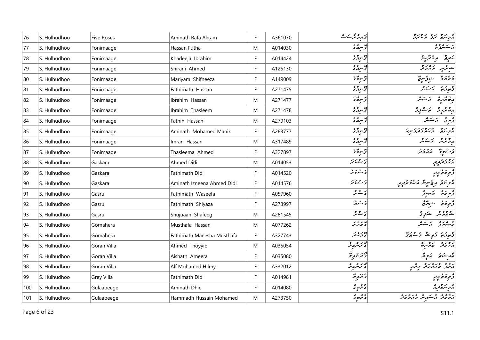| 76  | S. Hulhudhoo | <b>Five Roses</b> | Aminath Rafa Akram         | F         | A361070 | أدره جريئة                     | أأدوسهم بمرتى أروره                                          |
|-----|--------------|-------------------|----------------------------|-----------|---------|--------------------------------|--------------------------------------------------------------|
| 77  | S. Hulhudhoo | Fonimaage         | Hassan Futha               | M         | A014030 | بىز بىرى<br>تۈسر <i>ە</i> ئ    | بر سەھرىي                                                    |
| 78  | S. Hulhudhoo | Fonimaage         | Khadeeja Ibrahim           | F.        | A014424 | بر<br>تر سرچري                 | زرة مقتررة                                                   |
| 79  | S. Hulhudhoo | Fonimaage         | Shirani Ahmed              | F         | A125130 | بر سرچ <sub>ک</sub>            | جوير مەدد                                                    |
| 80  | S. Hulhudhoo | Fonimaage         | Mariyam Shifneeza          | F         | A149009 | ترسرچ ئ                        | رەرە خورسى                                                   |
| 81  | S. Hulhudhoo | Fonimaage         | Fathimath Hassan           | F         | A271475 | بر<br>تر سرچ <sup>ی</sup>      | قوجوة بركتمو                                                 |
| 82  | S. Hulhudhoo | Fonimaage         | Ibrahim Hassan             | M         | A271477 | بر<br>تر سرچ <sup>ی</sup>      | رەپزىر بىسكىر                                                |
| 83  | S. Hulhudhoo | Fonimaage         | Ibrahim Thasleem           | ${\sf M}$ | A271478 | بر<br>تر سرچ <sup>ی</sup>      | وەنزىر ئۆسۈم                                                 |
| 84  | S. Hulhudhoo | Fonimaage         | Fathih Hassan              | M         | A279103 | بر<br>ترسرچ <sup>ی</sup>       | ۇمۇر ئەسكىلى                                                 |
| 85  | S. Hulhudhoo | Fonimaage         | Aminath Mohamed Manik      | F.        | A283777 | بر<br>ترسرچری                  | ה הני כנסגבו ב                                               |
| 86  | S. Hulhudhoo | Fonimaage         | Imran Hassan               | M         | A317489 | بر سرچ <sub>ک</sub>            | مەئەر ئەسەر                                                  |
| 87  | S. Hulhudhoo | Fonimaage         | Thasleema Ahmed            | F         | A327897 | بر سرچ <sub>ک</sub>            | ۇ شوچۇ ھەردى                                                 |
| 88  | S. Hulhudhoo | Gaskara           | Ahmed Didi                 | M         | A014053 | ى شەندىنە                      | ر صر چر <sub>ور می</sub>                                     |
| 89  | S. Hulhudhoo | Gaskara           | Fathimath Didi             | F         | A014520 | ىر ھەئەبجە                     | ر<br>رگېږ <i>و کو</i> نو په                                  |
| 90  | S. Hulhudhoo | Gaskara           | Aminath Izneena Ahmed Didi | F         | A014576 | ى سەندىكە                      | הקיימת השייעות ההקבקית                                       |
| 91  | S. Hulhudhoo | Gasru             | Fathimath Waseefa          | F         | A057960 | ى ھەيۋ                         | ومودة وكسوو                                                  |
| 92  | S. Hulhudhoo | Gasru             | Fathimath Shiyaza          | F.        | A273997 | ىر ھەتر                        | و دو شوره                                                    |
| 93  | S. Hulhudhoo | Gasru             | Shujuaan Shafeeg           | M         | A281545 | ىر ھەتر                        | جەج ئەھ ئىكەن ئىچ                                            |
| 94  | S. Hulhudhoo | Gomahera          | Musthafa Hassan            | M         | A077262 | پور پار<br>ئاق تر تنز          | د په دورو پر پر کار                                          |
| 95  | S. Hulhudhoo | Gomahera          | Fathimath Maeesha Musthafa | F         | A327743 | برر ر بر<br>کار کريمر          | توجوج وريشة ومنبور                                           |
| 96  | S. Hulhudhoo | Goran Villa       | Ahmed Thoyyib              | M         | A035054 | <sup>2</sup> ئىرىگرىز گە       | גפנק גפתם                                                    |
| 97  | S. Hulhudhoo | Goran Villa       | Aishath Ameera             | F         | A035080 | لى ئەشھەقە                     | أقرم شكوح الكرجر                                             |
| 98  | S. Hulhudhoo | Goran Villa       | Alf Mohamed Hilmy          | F         | A332012 | م بر ه <sub>رم</sub> و څه      | ره د دره رو برو <sub>ج</sub><br>مرو د برمرد برو <sub>ج</sub> |
| 99  | S. Hulhudhoo | Grey Villa        | Fathimath Didi             | F         | A014981 | ە ،،<br>ئەنىر <sub>ى ب</sub> ۇ | ۇ بەر ئەرىر<br>سىر ئەر                                       |
| 100 | S. Hulhudhoo | Gulaabeege        | Aminath Dhie               | F         | A014080 | د ځر <sub>ي</sub> ځ            | ر<br>مەجە سىھۇمەم                                            |
| 101 | S. Hulhudhoo | Gulaabeege        | Hammadh Hussain Mohamed    | M         | A273750 | د و ه<br>د ژه د                | ים זיך כדי הפינים ודי הפיני המודע.<br>ממכת מייאות בממכת      |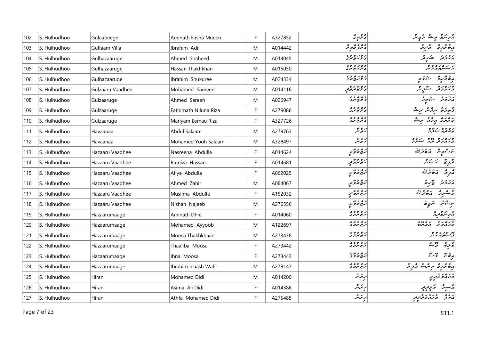| 102 | S. Hulhudhoo | Gulaabeege       | Aminath Easha Mueen   | F           | A327852 | د څه دي<br>  د څه                        | أدوسم أربث وأربثه                                                                                              |
|-----|--------------|------------------|-----------------------|-------------|---------|------------------------------------------|----------------------------------------------------------------------------------------------------------------|
| 103 | S. Hulhudhoo | Gulfaam Villa    | Ibrahim Adil          | M           | A014442 | وه وه ه و څه<br>د مخرو خو څ              | رەتمەد شىرو                                                                                                    |
| 104 | S. Hulhudhoo | Gulhazaaruge     | Ahmed Shaheed         | M           | A014045 | و ه ر پر و ،<br>د <del>ن</del> ور بخ بود | رەرو خەرق                                                                                                      |
| 105 | S. Hulhudhoo | Gulhazaaruge     | Hassan Thakhkhan      | M           | A015050 | و ه ر پر و ،<br>د نورنځ بوړ              | ىر سەھرەر <i>ئەش</i>                                                                                           |
| 106 | S. Hulhudhoo | Gulhazaaruge     | Ibrahim Shukuree      | M           | A024334 | و ه ر پر و ء<br>  د نور بخ بود           | ەر ھەتئە <i>پە</i> ر<br>مشورتمبر                                                                               |
| 107 | S. Hulhudhoo | Gulzaaru Vaadhee | Mohamed Sameen        | M           | A014116 | وه پ <sub>ه</sub> چې په په په            | ورەرو گەچىر                                                                                                    |
| 108 | S. Hulhudhoo | Gulzaaruge       | Ahmed Sareeh          | M           | A026947 | و ه په و ،<br>د نومځ مود                 | رەرد بەرد                                                                                                      |
| 109 | S. Hulhudhoo | Gulzaaruge       | Fathimath Niluna Riza | F           | A279086 | و ه پر و ،<br>د نومځ مرد                 | قەم ئەرگە ئىق بوڭ                                                                                              |
| 110 | S. Hulhudhoo | Gulzaaruge       | Mariyam Eemau Riza    | F           | A327726 | و ه په و ،<br>د نومځ مود                 | و مرده پردم برگ                                                                                                |
| 111 | S. Hulhudhoo | Havaanaa         | Abdul Salaam          | M           | A279763 | ر پەيتر<br>سرەتىر                        | ر ه د ه ر ر وه<br>پره تر پر سونو                                                                               |
| 112 | S. Hulhudhoo | Havaanaa         | Mohamed Yooh Salaam   | M           | A328497 | ر پەيتر<br>رەڭ ئىر                       | כנסנכ חדר נדס<br><i>כג</i> תכת תג <del>יינ</del> ב                                                             |
| 113 | S. Hulhudhoo | Hazaaru Vaadhee  | Nasreena Abdulla      | F           | A014624 | ئەنچ ئىرقۇ قىيە                          | ىترىشمىيىتتر كەھ قراللە                                                                                        |
| 114 | S. Hulhudhoo | Hazaaru Vaadhee  | Ramiza Hassan         | $\mathsf F$ | A014681 | ر پر چړې په په                           | بَرْدِيَّ بْرَسْشْ                                                                                             |
| 115 | S. Hulhudhoo | Hazaaru Vaadhee  | Afiya Abdulla         | F           | A062025 | ر پر برگرمبر<br>سرچ مرگرمبر              | وتحرير وتحقرالله                                                                                               |
| 116 | S. Hulhudhoo | Hazaaru Vaadhee  | Ahmed Zahir           | M           | A084067 | ر پر چه په په                            | دەر دېم تەرىخ                                                                                                  |
| 117 | S. Hulhudhoo | Hazaaru Vaadhee  | Muslima Abdulla       | F           | A152032 | رَ پِجْ بَرْءٌ مَدِ                      | صصرالله<br>د مشورد.<br>م                                                                                       |
| 118 | S. Hulhudhoo | Hazaaru Vaadhee  | Nishan Najeeb         | M           | A276556 | رَ پِجْ بَرْءٌ مَدِ                      | سرشة مركب وهي أن المسترج                                                                                       |
| 119 | S. Hulhudhoo | Hazaarumaage     | Aminath Dhie          | F           | A014060 | ر ۶ و ۶ ی<br>رسخ مرو ی                   | ۇ جە سىھ تىرە كە                                                                                               |
| 120 | S. Hulhudhoo | Hazaarumaage     | Mohamed Ayyoob        | M           | A122697 | ر ۶ و ۶ ی<br>رسخ مرو ی                   | כנסנכ נסמכ<br>בגתכת <mark>ה</mark> תת <mark>פ</mark>                                                           |
| 121 | S. Hulhudhoo | Hazaarumaage     | Moosa Thakhkhaan      | M           | A273438 | ر ۶ و ۶ ی<br>رسخ مرو ی                   | دو په ره په مو                                                                                                 |
| 122 | S. Hulhudhoo | Hazaarumaage     | Thaaliba Moosa        | F           | A273442 | ر ۶ و ۶ و<br>رسم مرو د                   | دين مشر<br>بجوحة                                                                                               |
| 123 | S. Hulhudhoo | Hazaarumaage     | Ibna Moosa            | F           | A273443 | ر پر و د »<br>رسخ بور <del>و</del> ی     | 23200                                                                                                          |
| 124 | S. Hulhudhoo | Hazaarumaage     | Ibrahim Inaash Wafir  | M           | A279147 | ر ۶ و ۶ ی<br>رسخ مرو ی                   | رەنزىر رىئىش ئۆر                                                                                               |
| 125 | S. Hulhudhoo | Hiran            | Mohamed Didi          | M           | A014200 | بە ئەتىر                                 |                                                                                                                |
| 126 | S. Hulhudhoo | Hiran            | Asima Ali Didi        | F           | A014386 | رىزىر                                    |                                                                                                                |
| 127 | S. Hulhudhoo | Hiran            | Athfa Mohamed Didi    | F           | A275485 | رىزىر                                    | ر ده سره در در در در در در در بر در در در در در در در در در در در در دارد و بازدار دارد و در دارد در دارد و دا |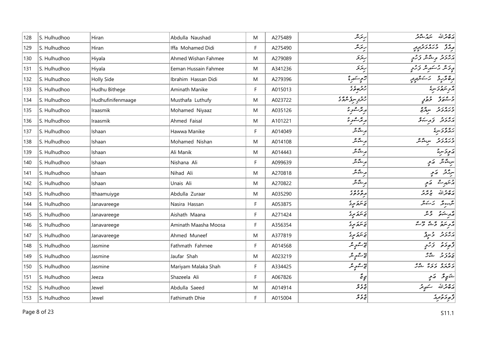| 128 | S. Hulhudhoo | Hiran             | Abdulla Naushad      | M           | A275489 | رىزىگە                                 | رەقراللە سەرئىقىر                      |
|-----|--------------|-------------------|----------------------|-------------|---------|----------------------------------------|----------------------------------------|
| 129 | S. Hulhudhoo | Hiran             | Iffa Mohamed Didi    | E           | A275490 | رىزىر                                  | ره و دره دورور<br>امروز و برمرد ترترین |
| 130 | S. Hulhudhoo | Hiyala            | Ahmed Wishan Fahmee  | M           | A279089 | رىزى                                   | رەرد وڅر وگړ                           |
| 131 | S. Hulhudhoo | Hiyala            | Eeman Hussain Fahmee | M           | A341236 | رىزىخە                                 | ر د مر بر سکر مرکز و کرد و             |
| 132 | S. Hulhudhoo | <b>Holly Side</b> | Ibrahim Hassan Didi  | M           | A279396 | لتنعي سنهرء                            | رە ئەر ئەسكىرىر<br>رەمۇر ئ             |
| 133 | S. Hulhudhoo | Hudhu Bithege     | Aminath Manike       | F.          | A015013 | و و د ، ،<br>روزه د د                  |                                        |
| 134 | S. Hulhudhoo | Hudhufinifenmaage | Musthafa Luthufy     | M           | A023722 | 2 قرىر مىرى مىرى<br>  2 قىرىر مىرىگە ئ | و وړو ووړ                              |
| 135 | S. Hulhudhoo | Iraasmik          | Mohamed Niyaaz       | M           | A035126 | ار پر شامر رقم<br>گر                   | בגמכת תחצים                            |
| 136 | S. Hulhudhoo | Iraasmik          | Ahmed Faisal         | M           | A101221 | رېژىسىرىۋ                              | أرورو وكرجو                            |
| 137 | S. Hulhudhoo | Ishaan            | Hawwa Manike         | F           | A014049 | ەرىشەھر                                | برە ئەربى                              |
| 138 | S. Hulhudhoo | Ishaan            | Mohamed Nishan       | M           | A014108 | ەرىشەشر                                | ورەرو سىشىر                            |
| 139 | S. Hulhudhoo | Ishaan            | Ali Manik            | M           | A014443 | اړیځیر                                 | ە ئېرىر ئىرىد<br>ئى                    |
| 140 | S. Hulhudhoo | Ishaan            | Nishana Ali          | $\mathsf F$ | A099639 | ىرىشەھ                                 | سرڪيئر اڳر                             |
| 141 | S. Hulhudhoo | Ishaan            | Nihad Ali            | M           | A270818 | ىرىشەشر                                | سرمجمع المجانبي                        |
| 142 | S. Hulhudhoo | Ishaan            | Unais Ali            | M           | A270822 | برىشەشر                                | وتندع أيمو                             |
| 143 | S. Hulhudhoo | Ithaamuiyge       | Abdulla Zuraar       | M           | A035290 | پرځ ده پر                              | مَدْهِ مِنْ اللَّهُ ثُمَّ مُرَّمَّهُ   |
| 144 | S. Hulhudhoo | Janavareege       | Nasira Hassan        | F.          | A053875 | ئے مترکھ سریحہ                         | للرسولات الاسكانكر                     |
| 145 | S. Hulhudhoo | Janavareege       | Aishath Maana        | F           | A271424 | ئے سَرَعَہ سرِ ئ                       | ە ئەستىمى ئەنگر                        |
| 146 | S. Hulhudhoo | Janavareege       | Aminath Maasha Moosa | F           | A356354 | ئے مترکھ سریحہ                         | أأرضم والمحت وحسام                     |
| 147 | S. Hulhudhoo | Janavareege       | Ahmed Muneef         | M           | A377819 | ئے مترکھ سریحہ                         | پره د د وسرو                           |
| 148 | S. Hulhudhoo | Jasmine           | Fathmath Fahmee      | F           | A014568 | قع ڪھي شر                              | وتجوحكم ورحي                           |
| 149 | S. Hulhudhoo | Jasmine           | Jaufar Shah          | M           | A023219 | ئ <sub>ئ</sub> ش <sub>وچ</sub> ىئر     | د ور چه شک <sup>و</sup>                |
| 150 | S. Hulhudhoo | Jasmine           | Mariyam Malaka Shah  | F           | A334425 | ئۇ ش <sub>وچ</sub> ىتر                 | رەرە رىرە ئەر                          |
| 151 | S. Hulhudhoo | Jeeza             | Shazeela Ali         | F           | A067826 | مج تج                                  | شکایا تخرید کرکے م                     |
| 152 | S. Hulhudhoo | Jewel             | Abdulla Saeed        | M           | A014914 | ه ء و<br>  ق قر                        | برە قرالله<br>سەھرىقر                  |
| 153 | S. Hulhudhoo | Jewel             | Fathimath Dhie       | F.          | A015004 | ص ح حر<br>  ص حر                       | ۇ ب <sub>و</sub> خوم تىرىد             |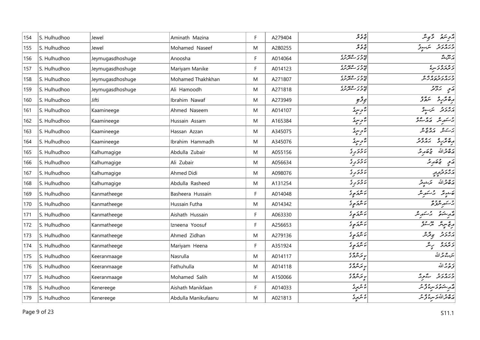| 154 | S. Hulhudhoo | Jewel            | Aminath Mazina      | F           | A279404 | ه ی و<br>  ق و و                                         | أأدبته كالمجامر                                          |
|-----|--------------|------------------|---------------------|-------------|---------|----------------------------------------------------------|----------------------------------------------------------|
| 155 | S. Hulhudhoo | Jewel            | Mohamed Naseef      | M           | A280255 | ء ۽ ه                                                    | و ر ه ر و<br>تر پر ژ تر<br>ىترىب ۋ                       |
| 156 | S. Hulhudhoo | Jeymugasdhoshuge | Anoosha             | F           | A014064 | ہے و رے پو و ء<br>  قع و ی سسونس پور                     | ىر جۇيئە                                                 |
| 157 | S. Hulhudhoo | Jeymugasdhoshuge | Mariyam Manike      | F           | A014123 | ہے و رے ہو و ء<br>  ہے و ی سسونرمری                      | ر ەرەر پر                                                |
| 158 | S. Hulhudhoo | Jeymugasdhoshuge | Mohamed Thakhkhan   | M           | A271807 | ہے و رے ہو و ء<br>  قع و ی سسونس پری                     | د ره ر د ره و می<br><i>د بر بر د ترج</i> ر <i>تر</i> نثر |
| 159 | S. Hulhudhoo | Jeymugasdhoshuge | Ali Hamoodh         | M           | A271818 | دے و رے پو و ء<br>قع و ی سسونس دی                        | پر پروژ                                                  |
| 160 | S. Hulhudhoo | Jifti            | Ibrahim Nawaf       | M           | A273949 | وگوح                                                     | د ۱۳ په ۱۳ په کال                                        |
| 161 | S. Hulhudhoo | Kaamineege       | Ahmed Naseem        | M           | A014107 | مڈحہ سرنے<br>مسرحیہ                                      | رەرو برگو                                                |
| 162 | S. Hulhudhoo | Kaamineege       | Hussain Assam       | M           | A165384 | مڈحہ سر <sup>ی</sup><br>مسر                              | ج سکهر شهر محمد محمد استر                                |
| 163 | S. Hulhudhoo | Kaamineege       | Hassan Azzan        | M           | A345075 | مۇجەسى<br>مۇج                                            | ير كى ئەرەپچىر                                           |
| 164 | S. Hulhudhoo | Kaamineege       | Ibrahim Hammadh     | M           | A345076 | مۇجەسرى<br>سىرتىپ                                        | 1997 - 1997<br>1997 - 1997                               |
| 165 | S. Hulhudhoo | Kalhumagige      | Abdulla Zubair      | M           | A055156 | ر ور<br>  ما ند <del>د</del> با                          | مَ صَعْرَاللّهِ مَحْمَدَ مِرْ                            |
| 166 | S. Hulhudhoo | Kalhumagige      | Ali Zubair          | M           | A056634 | ئەقرىرى                                                  | $\begin{bmatrix} 2 & 2 & 3 \\ 2 & 2 & 3 \end{bmatrix}$   |
| 167 | S. Hulhudhoo | Kalhumagige      | Ahmed Didi          | M           | A098076 | ر ور<br>ئاند <del>ى</del> رى                             | ر ص بر و<br>د بر د ترتدبد                                |
| 168 | S. Hulhudhoo | Kalhumagige      | Abdulla Rasheed     | M           | A131254 | ر ور<br>ئاندىزى                                          | ره والله كم يشونر                                        |
| 169 | S. Hulhudhoo | Kanmatheege      | Basheera Hussain    | F           | A014048 | ر ه ر<br>مشرد م <sub>و</sub> ر                           | ەھبىر ئەسكىرىش                                           |
| 170 | S. Hulhudhoo | Kanmatheege      | Hussain Futha       | M           | A014342 | ئەنگە ئەمرى<br>  ئانگەنچە ئە                             | ج <sub>ە سىك</sub> ر مىرىمۇ                              |
| 171 | S. Hulhudhoo | Kanmatheege      | Aishath Hussain     | $\mathsf F$ | A063330 | ر هر د ،<br>مرگه د                                       | ۇرمۇق برىسىر                                             |
| 172 | S. Hulhudhoo | Kanmatheege      | Izneena Yoosuf      | F           | A256653 | ر هر د ،<br>مرگه د                                       | ەم ئەسرىئە ئەر مەدر<br>م                                 |
| 173 | S. Hulhudhoo | Kanmatheege      | Ahmed Zidhan        | M           | A279136 | پر هر پر پر<br>  پا مرچرمي پر                            | پرەر ئە ئەيدىر                                           |
| 174 | S. Hulhudhoo | Kanmatheege      | Mariyam Heena       | $\mathsf F$ | A351924 | لأمثلة موبم                                              | ويورو بدر                                                |
| 175 | S. Hulhudhoo | Keeranmaage      | Nasrulla            | M           | A014117 | ارېږه ده                                                 | يربو برالله                                              |
| 176 | S. Hulhudhoo | Keeranmaage      | Fathuhulla          | M           | A014118 | ىر ئىر شرچ <sup>ى</sup>                                  | و و و اللّه                                              |
| 177 | S. Hulhudhoo | Keeranmaage      | Mohamed Salih       | M           | A150066 | لېږېدنه                                                  | ورەرو بەدە                                               |
| 178 | S. Hulhudhoo | Kenereege        | Aishath Manikfaan   | F.          | A014033 | ع مگر موجو<br>مستخرجو ج                                  | ە بەيدە ئەرەر ئەرىپى<br>مەرىبە ئەرەر ئەرىپ               |
| 179 | S. Hulhudhoo | Kenereege        | Abdulla Manikufaanu | M           | A021813 | ې پېړۍ په په په کالونه کې لوگونه کې د کالونه کېږي.<br>ته | رە قەللەر سرىدۇ سر                                       |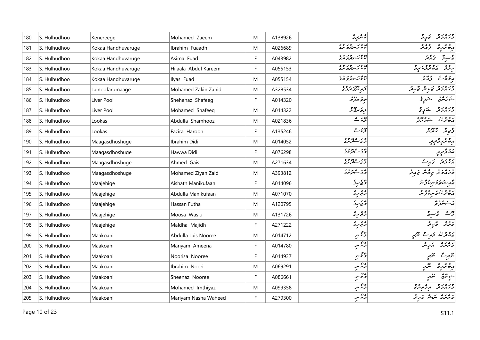| 180 | S. Hulhudhoo | Kenereege          | Mohamed Zaeem        | M           | A138926 | ې پرېږي<br>مر <sub>سم</sub> د             | وبرورو بمهود                                    |
|-----|--------------|--------------------|----------------------|-------------|---------|-------------------------------------------|-------------------------------------------------|
| 181 | S. Hulhudhoo | Kokaa Handhuvaruge | Ibrahim Fuaadh       | M           | A026689 | پر در بر در د د<br>را را رکسرفری مرد      | و ه و.<br>تو در تعر<br>ە ھەترىرى<br>رەھىرىرى    |
| 182 | S. Hulhudhoo | Kokaa Handhuvaruge | Asima Fuad           | F           | A043982 | پر مجموعہ سر و د<br>مامگا کہ سرچونکے محری | وتمسوقه<br>و ه و<br>تو د تر                     |
| 183 | S. Hulhudhoo | Kokaa Handhuvaruge | Hilaala Abdul Kareem | F           | A055153 | پر دے رہے<br>تا تا کہ سرفری مری           | ر محمد من ده ده در ده<br>د څخه منص <i>مرح</i> د |
| 184 | S. Hulhudhoo | Kokaa Handhuvaruge | Ilyas Fuad           | M           | A055154 | پر دے رہے<br>تا تا کہ سرفری مری           | د ویژه و وود                                    |
| 185 | S. Hulhudhoo | Lainoofarumaage    | Mohamed Zakin Zahid  | M           | A328534 | ى پەر دەپ<br>ئەر سرىمىزى                  | ورورو پر عراقل کارو                             |
| 186 | S. Hulhudhoo | Liver Pool         | Shehenaz Shafeeg     | F           | A014320 | و و دوه                                   | د دي هم دي.<br>د سرگري شکور ته                  |
| 187 | S. Hulhudhoo | Liver Pool         | Mohamed Shafeeq      | M           | A014322 | وەَ بردو                                  | ورەر دېم ئىدۇر                                  |
| 188 | S. Hulhudhoo | Lookas             | Abdulla Shamhooz     | M           | A021836 | در ره<br>مرت                              | ەھىراللە<br>ر ۶۶۰ و<br>شور رفر                  |
| 189 | S. Hulhudhoo | Lookas             | Fazira Haroon        | F           | A135246 | ىزىر ھ                                    | پر دو ه<br>رنجو پس<br>  وَمبح بمَرّ             |
| 190 | S. Hulhudhoo | Maagasdhoshuge     | Ibrahim Didi         | M           | A014052 | بر رحس و د د<br>تر د سوتورس               | ەر ھەترىر 9 دىرىر<br>ر                          |
| 191 | S. Hulhudhoo | Maagasdhoshuge     | Hawwa Didi           | F           | A076298 | بر رحس و د د<br>و ی سوتوری                | ر ە بە<br>بەھەتە تەرىپە                         |
| 192 | S. Hulhudhoo | Maagasdhoshuge     | Ahmed Gais           | M           | A271634 | بر ر صر و د<br>و ی سستمبر دی              | رەرو تورق                                       |
| 193 | S. Hulhudhoo | Maagasdhoshuge     | Mohamed Ziyan Zaid   | M           | A393812 | به رحمه و د<br>و ی سوتوری                 | כגם גב התיית התב                                |
| 194 | S. Hulhudhoo | Maajehige          | Aishath Manikufaan   | F           | A014096 | ی ء<br>5 فع سر د                          | ا د م شوکتر د د و د بر<br>م                     |
| 195 | S. Hulhudhoo | Maajehige          | Abdulla Manikufaan   | M           | A071070 | ی ء<br>5 فع سر د                          | ره و اللّه دَ سره و بر                          |
| 196 | S. Hulhudhoo | Maajehige          | Hassan Futha         | M           | A120795 | ر ده در ده<br>تر بی مرک                   | ر ر ره د و<br>پر سه مروځو                       |
| 197 | S. Hulhudhoo | Maajehige          | Moosa Wasiu          | M           | A131726 | ی ی ر ی<br>ترقع مرد                       |                                                 |
| 198 | S. Hulhudhoo | Maajehige          | Maldha Majidh        | F           | A271222 | و ۽ مري<br>5 فع مري                       | رەپ ئ <sup>ې</sup> بار                          |
| 199 | S. Hulhudhoo | Maakoani           | Abdulla Lais Nooree  | M           | A014712 | وی<br>قرنامبر                             | أركاه قرالله تخررت فتربي                        |
| 200 | S. Hulhudhoo | Maakoani           | Mariyam Ameena       | $\mathsf F$ | A014780 | وی<br>قرنامبر                             | ويرووا المتوسر                                  |
| 201 | S. Hulhudhoo | Maakoani           | Noorisa Nooree       | F           | A014937 | وی<br>قرنامبر                             |                                                 |
| 202 | S. Hulhudhoo | Maakoani           | Ibrahim Noori        | M           | A069291 | وتنامبر                                   | دە ئەرە<br>لتربير                               |
| 203 | S. Hulhudhoo | Maakoani           | Sheenaz Nooree       | F           | A086661 | وه<br>د نامبر                             | شوشرم<br>ئوسرى<br>لترمير                        |
| 204 | S. Hulhudhoo | Maakoani           | Mohamed Imthiyaz     | M           | A099358 | وممبر                                     | ورەرد<br>ودحورتم                                |
| 205 | S. Hulhudhoo | Maakoani           | Mariyam Nasha Waheed | F           | A279300 | وی<br>قرنامبر                             | رەرە بىرىش ئەبەتر                               |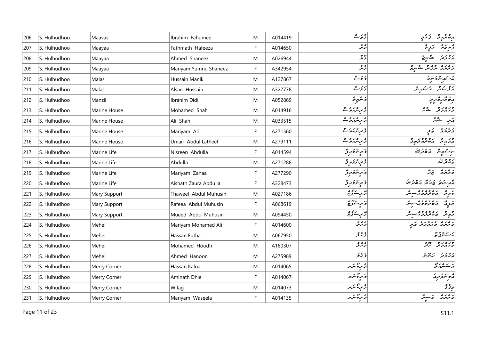| 206 | S. Hulhudhoo | Maavas       | Ibrahim Fahumee       | M         | A014419 | ۇر ئە                                | رەپرىر زرې                                           |
|-----|--------------|--------------|-----------------------|-----------|---------|--------------------------------------|------------------------------------------------------|
| 207 | S. Hulhudhoo | Maayaa       | Fathmath Hafeeza      | F         | A014650 | رحمر                                 | وَجوحة يَوِجَّ                                       |
| 208 | S. Hulhudhoo | Maayaa       | Ahmed Shaneez         | M         | A026944 | ۇتە                                  | رەرو شەرى                                            |
| 209 | S. Hulhudhoo | Maayaa       | Mariyam Yumnu Shaneez | F         | A342954 | وحجر                                 | رەرە دە دېگىرە                                       |
| 210 | S. Hulhudhoo | Malas        | Hussain Manik         | ${\sf M}$ | A127867 | ىزىر                                 | چە سەر شەئەسرە<br>بەسەر شەئەسرە<br>مەنۇسىش بەر شەر ش |
| 211 | S. Hulhudhoo | Malas        | Alsan Hussain         | M         | A327778 | ىز ئە                                |                                                      |
| 212 | S. Hulhudhoo | Manzil       | Ibrahim Didi          | ${\sf M}$ | A052869 | ځەشىپو                               | ە ھەمەر ۋىدىر<br>رەھ مەر ۋىي                         |
| 213 | S. Hulhudhoo | Marine House | Mohamed Shah          | ${\sf M}$ | A014916 | ء بر عربر مصر<br>حسم <i>مرد م</i>    | ورەر دەر يە                                          |
| 214 | S. Hulhudhoo | Marine House | Ali Shah              | ${\sf M}$ | A033515 | <i>ئى بىر شەرج ھ</i>                 | $2\frac{3}{2}$ $\frac{3}{2}$                         |
| 215 | S. Hulhudhoo | Marine House | Mariyam Ali           | F         | A271560 | <i>ئى بەرگەر ق</i>                   | رەرە كەي                                             |
| 216 | S. Hulhudhoo | Marine House | Umair Abdul Latheef   | M         | A279111 | ې په <i>۱۳۳۷ ک</i>                   |                                                      |
| 217 | S. Hulhudhoo | Marine Life  | Nisreen Abdulla       | F         | A014594 | ۇ <sub>مېرىنگرىترىر</sub> ۋ          | سرعيت مكافرالله                                      |
| 218 | S. Hulhudhoo | Marine Life  | Abdulla               | ${\sf M}$ | A271288 | ۇ <sub>مو</sub> يۇ <sub>م</sub> رۇ   | مەھىراللە                                            |
| 219 | S. Hulhudhoo | Marine Life  | Mariyam Zahaa         | F         | A277290 | ئ <i>ەبەبىر بىر ۋ</i>                | ترەرە بەر                                            |
| 220 | S. Hulhudhoo | Marine Life  | Aishath Zaura Abdulla | F         | A328473 | ء <sub>َ مر</sub> ِ عر <i>و آر</i> و | مەم شىم بىر مەھمەللە                                 |
| 221 | S. Hulhudhoo | Mary Support | Thaweel Abdul Muhusin | ${\sf M}$ | A027186 | پی پر موثور جو ا                     | و ده ده ده ده ده و                                   |
| 222 | S. Hulhudhoo | Mary Support | Rafeea Abdul Muhusin  | F         | A068619 | دسمبر مرضح<br>  دسمبرد م             | بروه مەمدىرى بىر                                     |
| 223 | S. Hulhudhoo | Mary Support | Mueed Abdul Muhusin   | M         | A094450 | وسيست <u>وه</u>                      | و د د ده وه وه سرگر<br>د په د کامرووبر سرگر          |
| 224 | S. Hulhudhoo | Mehel        | Mariyam Mohamed Ali   | F         | A014600 | <sup>ى ي ج</sup>                     | ג סגם כגסגב גב                                       |
| 225 | S. Hulhudhoo | Mehel        | Hassan Futha          | ${\sf M}$ | A067950 | ی ی ه<br>حرمو                        | بر سەھرىدى                                           |
| 226 | S. Hulhudhoo | Mehel        | Mohamed Hoodh         | ${\sf M}$ | A160307 | ړ ره<br>تر ر                         | כנסני כבי<br>כ <i>ג</i> וכני נט                      |
| 227 | S. Hulhudhoo | Mehel        | Ahmed Hanoon          | M         | A275989 | ى ئە ھ                               | رەر ئەدەھ                                            |
| 228 | S. Hulhudhoo | Merry Corner | Hassan Kaloa          | ${\sf M}$ | A014065 | د مړيند سرسه                         | ىر يەھ يەھ                                           |
| 229 | S. Hulhudhoo | Merry Corner | Aminath Dhie          | F         | A014067 | دېږېدنېر<br> -                       | د گر سره در م<br>گرم سره در گر                       |
| 230 | S. Hulhudhoo | Merry Corner | Wifag                 | ${\sf M}$ | A014073 | اڈىپرىتىكە                           | حوقرتنى                                              |
| 231 | S. Hulhudhoo | Merry Corner | Mariyam Waseela       | F         | A014135 | لخربر تكرير                          | ويدوح وكمسبو                                         |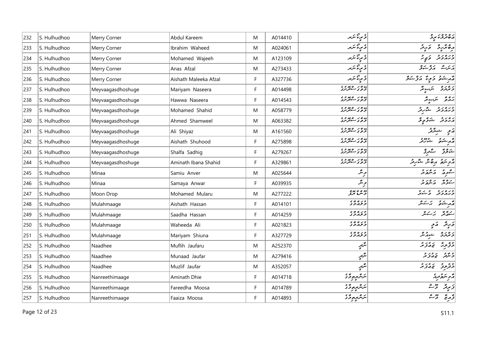| 232 | S. Hulhudhoo | Merry Corner      | Abdul Kareem          | M  | A014410 | ء <sub>مو</sub> را مد بر                 | ره وه ر<br>مەھىرىرىر بر                    |
|-----|--------------|-------------------|-----------------------|----|---------|------------------------------------------|--------------------------------------------|
| 233 | S. Hulhudhoo | Merry Corner      | Ibrahim Waheed        | M  | A024061 | ء<br>خ <sup>م</sup> برنامېنىر            | ەرھ ئ <sup>ۆ</sup> ر ۋ<br>ءَ ٻه تقر        |
| 234 | S. Hulhudhoo | Merry Corner      | Mohamed Wajeeh        | M  | A123109 | د سر پر سر سر سر                         | ورەرو رىپ                                  |
| 235 | S. Hulhudhoo | Merry Corner      | Anas Afzal            | M  | A273433 | ى بىر ئەكتەبىر                           | أر يترب أما أو كانت و                      |
| 236 | S. Hulhudhoo | Merry Corner      | Aishath Maleeka Afzal | F. | A327736 | د مړيند سرسه                             |                                            |
| 237 | S. Hulhudhoo | Meyvaagasdhoshuge | Mariyam Naseera       | F. | A014498 | ده بر ره پو و د<br>ترخ کا مسئولونون      | رەرە شبىر                                  |
| 238 | S. Hulhudhoo | Meyvaagasdhoshuge | Hawwa Naseera         | F  | A014543 | در بر ره دو در در بر<br>مرحو ی مسئولوسری | رە ئەربەر                                  |
| 239 | S. Hulhudhoo | Meyvaagasdhoshuge | Mohamed Shahid        | M  | A058779 | در بر ره بر و د<br>تر بر کامی مسلومور    | ورەر دېمبر د                               |
| 240 | S. Hulhudhoo | Meyvaagasdhoshuge | Ahmed Shamweel        | M  | A063382 | ده بر ره پو و د<br>ترخ که سستمبرمر       | رەرد شەۋەپى                                |
| 241 | S. Hulhudhoo | Meyvaagasdhoshuge | Ali Shiyaz            | M  | A161560 | ده بر ره پو و د<br>ترخ کا مسئولونون      | أتذمي الشورقمر                             |
| 242 | S. Hulhudhoo | Meyvaagasdhoshuge | Aishath Shuhood       | F  | A275898 | در در ۲۶ و د و د<br>تر بن کر سوتورس      | و در دور دور<br>د کار شور در               |
| 243 | S. Hulhudhoo | Meyvaagasdhoshuge | Shalfa Sadhig         | F. | A279267 | ، پر رہے و ،<br>  تربی کر سکوٹریوی       | شەنۇتى<br>ستزوري                           |
| 244 | S. Hulhudhoo | Meyvaagasdhoshuge | Aminath Ibana Shahid  | F. | A329861 | در بر ره پو و د<br>ترخ کا مسلومونو       | مُ و سَرة مع مَسَّر شَرْر مَر              |
| 245 | S. Hulhudhoo | Minaa             | Samiu Anver           | M  | A025644 | حريثر                                    | شور برەرو                                  |
| 246 | S. Hulhudhoo | Minaa             | Samaya Anwar          | F  | A039935 | و متر                                    | ستوش برەر د                                |
| 247 | S. Hulhudhoo | Moon Drop         | Mohamed Mularu        | M  | A277222 | دد و ه بره<br>تر سرو سرو                 | ورەر د درد<br><i>دېرم</i> وتر وختم         |
| 248 | S. Hulhudhoo | Mulahmaage        | Aishath Hassan        | F. | A014101 | و ره و »<br>د <del>و</del> د د د         | مەر خىق ئەسكىش                             |
| 249 | S. Hulhudhoo | Mulahmaage        | Saadha Hassan         | F  | A014259 | و ره و »<br>د <del>و</del> د د د         | سەر ئەسەس                                  |
| 250 | S. Hulhudhoo | Mulahmaage        | Waheeda Ali           | F. | A021823 | و ره و »<br>د <del>و</del> د د د         | ءَبہِ پَر سَمِ                             |
| 251 | S. Hulhudhoo | Mulahmaage        | Mariyam Shiuna        | F. | A327729 | و ره و »<br>د <del>و</del> در و د        | ر ه ر ه<br><del>د</del> بربرگ<br>شەرقرىتىر |
| 252 | S. Hulhudhoo | Naadhee           | Muflih Jaufaru        | M  | A252370 | سگرمر                                    | ر ور و<br>ق پرتو تر<br> دورو               |
| 253 | S. Hulhudhoo | Naadhee           | Munaad Jaufar         | M  | A279416 | سگرمرٍ                                   | وشرو رور و                                 |
| 254 | S. Hulhudhoo | Naadhee           | Muzlif Jaufar         | M  | A352057 | پە<br>سربىر                              | وقرود فكالمرتز                             |
| 255 | S. Hulhudhoo | Nanreethimaage    | Aminath Dhie          | F  | A014718 | ئىر شرىيە بەر يەر<br>سىر شەمەر يەر       | ۇ جە ئىبرورى<br>كەنبە ئەرەر                |
| 256 | S. Hulhudhoo | Nanreethimaage    | Fareedha Moosa        | F  | A014789 | ىئەنگە <i>يەرى</i><br>مەنگە <i>يەر</i>   | وَمَدِمَّر<br>دو مح                        |
| 257 | S. Hulhudhoo | Nanreethimaage    | Faaiza Moosa          | F. | A014893 | ىئەبىر <i>مەيج</i><br>سىر بىر مەيرى      | ۇرى ۋە                                     |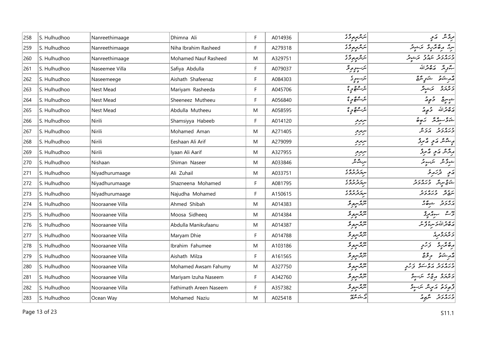| 258 | S. Hulhudhoo | Nanreethimaage   | Dhimna Ali             | F  | A014936 | ىئەنگە <i>يەرە</i><br>سىرتىرىيە يەر      |                                                                                                                                             |
|-----|--------------|------------------|------------------------|----|---------|------------------------------------------|---------------------------------------------------------------------------------------------------------------------------------------------|
| 259 | S. Hulhudhoo | Nanreethimaage   | Niha Ibrahim Rasheed   | F. | A279318 | ىئەنگە <i>يەرقى</i>                      | دره شه که در در در است.<br>در در است به سال به در در در در است.<br>در در است به سال به سال بر در در در در در استاده کردن و در کردن و در است |
| 260 | S. Hulhudhoo | Nanreethimaage   | Mohamed Nauf Rasheed   | M  | A329751 | ىئەنگە <i>يەرى</i><br>سەنگە <i>يەر</i>   | ورەرو روو ريود<br>دېرمرحتر سمدنى مرشوتر                                                                                                     |
| 261 | S. Hulhudhoo | Naseemee Villa   | Safiya Abdulla         | F  | A079037 | ىئرسوچە بۇ                               | جَوبِرَّ 10\$مِللَّه                                                                                                                        |
| 262 | S. Hulhudhoo | Naseemeege       | Aishath Shafeenaz      | F  | A084303 | ىئەسىرى<br>ئەسىر                         | ۇرمىقى ھۆرگە                                                                                                                                |
| 263 | S. Hulhudhoo | <b>Nest Mead</b> | Mariyam Rasheeda       | F  | A045706 |                                          | رەرە يرىدۇر                                                                                                                                 |
| 264 | S. Hulhudhoo | <b>Nest Mead</b> | Sheeneez Mutheeu       | F  | A056840 | ؉ۣٮۦ۠؏؞ٟۦ۠                               | أخوسره وهجرهم                                                                                                                               |
| 265 | S. Hulhudhoo | <b>Nest Mead</b> | Abdulla Mutheeu        | M  | A058595 | ئر شرع <mark>و</mark> پ <sup>ه</sup>     | مَدَّهْ مَّرَاللَّهُ دَّجِهِ مَّ                                                                                                            |
| 266 | S. Hulhudhoo | Nirili           | Shamsiyya Habeeb       | F  | A014120 | سربر بو.<br>بر بر بر                     | $\frac{3}{2}$                                                                                                                               |
| 267 | S. Hulhudhoo | Nirili           | Mohamed Aman           | M  | A271405 | سربر و                                   | כנסני גנים                                                                                                                                  |
| 268 | S. Hulhudhoo | Nirili           | Eeshaan Ali Arif       | M  | A279099 | سربر و                                   | ر شَدَّىرْ مَرْ مُرِوْ                                                                                                                      |
| 269 | S. Hulhudhoo | Nirili           | Iyaan Ali Aarif        | M  | A327955 | سربر و<br>مرکز ر                         | و پڙھ ڏي ڏيوڙ                                                                                                                               |
| 270 | S. Hulhudhoo | Nishaan          | Shiman Naseer          | M  | A033846 | سرىشەشر                                  | جادگان مگرسونگر<br>مرگ                                                                                                                      |
| 271 | S. Hulhudhoo | Niyadhurumaage   | Ali Zuhail             | M  | A033751 | سر د و و د و<br>سرتر ترتر د              | أيمع فركهرقم                                                                                                                                |
| 272 | S. Hulhudhoo | Niyadhurumaage   | Shazneena Mohamed      | F  | A081795 | سر و و و ء<br>سرتر پرو <sub>ک</sub>      | شكى سرپىگ دىم كەرد                                                                                                                          |
| 273 | S. Hulhudhoo | Niyadhurumaage   | Najudha Mohamed        | F  | A150615 | ر و و و د ،<br>سرتربرو د                 | ر و ده دره رو<br>  سرچاند احداد مد                                                                                                          |
| 274 | S. Hulhudhoo | Nooraanee Villa  | Ahmed Shibah           | M  | A014383 | ترىژىيرە ئۇ                              | أرمرد شرقه.                                                                                                                                 |
| 275 | S. Hulhudhoo | Nooraanee Villa  | Moosa Sidheeq          | M  | A014384 | تربر يبر <sub>عر</sub> بحر               | ور میں مقدم ہوتے<br>مرکز میں میں مقدم ہوتے                                                                                                  |
| 276 | S. Hulhudhoo | Nooraanee Villa  | Abdulla Manikufaanu    | M  | A014387 | <br> سر پژمبرو څر                        | ر قصر اللّه مَ سرير قر مر                                                                                                                   |
| 277 | S. Hulhudhoo | Nooraanee Villa  | Maryam Dhie            | F  | A014788 | ترپژ <sub>سره م</sub> وً<br> سرپژ سره مو | ג ם גם ה<br>כי מחלכ בנה                                                                                                                     |
| 278 | S. Hulhudhoo | Nooraanee Villa  | Ibrahim Fahumee        | M  | A103186 | يز پژ <sub>سوم</sub> ژ                   | وه پر د ورد                                                                                                                                 |
| 279 | S. Hulhudhoo | Nooraanee Villa  | Aishath Milza          | F  | A161565 | يز پژ <sub>سوم</sub> ژ                   |                                                                                                                                             |
| 280 | S. Hulhudhoo | Nooraanee Villa  | Mohamed Awsam Fahumy   | M  | A327750 | بىز ئەسرە ئ <sup>ۇ</sup><br>ئىسرىمىسى    |                                                                                                                                             |
| 281 | S. Hulhudhoo | Nooraanee Villa  | Mariyam Izuha Naseem   | F  | A342760 | يزىر<br>سرىر سرە بۇ                      | ويرتزو رءثر ترب                                                                                                                             |
| 282 | S. Hulhudhoo | Nooraanee Villa  | Fathimath Areen Naseem | F. | A357382 | ئىر ئىرىيە ئى<br>                        | ۋودۇ مېرىگە ئىر د                                                                                                                           |
| 283 | S. Hulhudhoo | Ocean Way        | Mohamed Naziu          | M  | A025418 | م<br>مرڪبور <i>ي</i>                     | ورەر د شبرد                                                                                                                                 |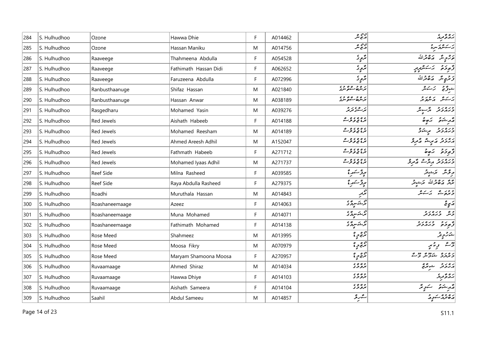| 284 | S. Hulhudhoo | Ozone             | Hawwa Dhie            | F  | A014462 | ە يە ھ<br>مەنبى                               | رە بە يە<br>بەھەتچەر                     |
|-----|--------------|-------------------|-----------------------|----|---------|-----------------------------------------------|------------------------------------------|
| 285 | S. Hulhudhoo | Ozone             | Hassan Maniku         | M  | A014756 | ە مەھ<br>مەنىچ مىر                            | بر کے مترکے سربر                         |
| 286 | S. Hulhudhoo | Raaveege          | Thahmeena Abdulla     | F  | A054528 | پر<br>مر <sub>مو</sub> ر                      | مرعويتر الاهترالله                       |
| 287 | S. Hulhudhoo | Raaveege          | Fathimath Hassan Didi | F  | A062652 | پھر<br>معرچ د                                 | ۇچەرە بەسەئىرىد                          |
| 288 | S. Hulhudhoo | Raaveege          | Faruzeena Abdulla     | F  | A072996 | پھر<br>معرچ د                                 | وَحْمِيمِ مُدَّ صَرْهُ قَرْاللّهِ        |
| 289 | S. Hulhudhoo | Ranbusthaanuge    | Shifaz Hassan         | M  | A021840 | ر ه د ه ه و و و                               | المورٌ ح كركتكل                          |
| 290 | S. Hulhudhoo | Ranbusthaanuge    | Hassan Anwar          | M  | A038189 | ر و و و ه و و ،<br>برس                        | ير سكاند المركز و المركز                 |
| 291 | S. Hulhudhoo | Rasgedharu        | Mohamed Yasin         | M  | A039276 | ىر رەپ بەر ج                                  | ورەرو گرىيىر                             |
| 292 | S. Hulhudhoo | <b>Red Jewels</b> | Aishath Habeeb        | F. | A014188 | ، ە ە ، ە و ھ<br>بر ، ي <sub>ى</sub> بو بۇ سە |                                          |
| 293 | S. Hulhudhoo | <b>Red Jewels</b> | Mohamed Reesham       | M  | A014189 | ه ه ه ه ه ه و<br>بر ه م <i>و بر</i>           | ورەرو برېشو                              |
| 294 | S. Hulhudhoo | <b>Red Jewels</b> | Ahmed Areesh Adhil    | M  | A152047 | ه ه ه ه ه ه و<br>بر ه قع تو تو سه             | رورو ريرے رورو                           |
| 295 | S. Hulhudhoo | Red Jewels        | Fathmath Habeeb       | F  | A271712 | ، ە ە ، ە ە<br>بر ، ي <i>ې د بۇ</i> ر         | توجدة بمقف                               |
| 296 | S. Hulhudhoo | Red Jewels        | Mohamed Iyaas Adhil   | M  | A271737 | ړه ه ړه و ه<br>بر د پړو لر                    | ورەرو مەر ئەھرى                          |
| 297 | S. Hulhudhoo | <b>Reef Side</b>  | Milna Rasheed         | F  | A039585 | ىر ۋىسەر ؟                                    | دٍ وَنَرَّ نَمَ شَوْرٌ                   |
| 298 | S. Hulhudhoo | <b>Reef Side</b>  | Raya Abdulla Rasheed  | F  | A279375 | ىر ۋىسەر ؟<br>ئ <sup>ە</sup>                  | يَرْيَرُ وَكَافَدْاللّهِ يَرْشِيْتُرْ    |
| 299 | S. Hulhudhoo | Roadhi            | Muruthala Hassan      | M  | A014843 | اچھور                                         | ووريج برسكس                              |
| 300 | S. Hulhudhoo | Roashaneemaage    | Azeez                 | F  | A014063 | ترىشە يېرىدى                                  | ر<br>دې                                  |
| 301 | S. Hulhudhoo | Roashaneemaage    | Muna Mohamed          | F. | A014071 | ە يە ئەسرى <sup>تى ي</sup>                    | ويؤد ورورو                               |
| 302 | S. Hulhudhoo | Roashaneemaage    | Fathimath Mohamed     | F  | A014138 | چرىشە بىر ق <sup>ى</sup> رى<br>ئى             | و ره ر د<br><i>د ب</i> رگرفر<br>ۇ بوز ئە |
| 303 | S. Hulhudhoo | Rose Meed         | Shahmeez              | M  | A013995 | ە ە ھ<br>مرىخ ج                               | شەر <sub>تو</sub> نىر                    |
| 304 | S. Hulhudhoo | Rose Meed         | Moosa Fikry           | M  | A070979 | ە ە ھ<br>مرىخ ج                               | لرقيق ورثيو                              |
| 305 | S. Hulhudhoo | Rose Meed         | Maryam Shamoona Moosa | F  | A270957 | ە ە ھ<br>مرىخ ج <sub>و</sub> لا               | رەرە بەدە «                              |
| 306 | S. Hulhudhoo | Ruvaamaage        | Ahmed Shiraz          | M  | A014034 | و ه » »<br>بوره و                             | رەر دىھ ھوتۇمى<br>مەردىر ھوتۇمى          |
| 307 | S. Hulhudhoo | Ruvaamaage        | Hawwa Dhiye           | F  | A014103 | و په په په<br>مونو ک                          | ر ە بە<br>بەھەتچە بەر                    |
| 308 | S. Hulhudhoo | Ruvaamaage        | Aishath Sameera       | F. | A014104 | و په په په<br>مر <i>و و</i> ي                 | پ <sup>ر</sup> ديگر ج<br>سەر پۇ          |
| 309 | S. Hulhudhoo | Saahil            | Abdul Sameeu          | M  | A014857 | سەر بۇ                                        | גם כם גבל                                |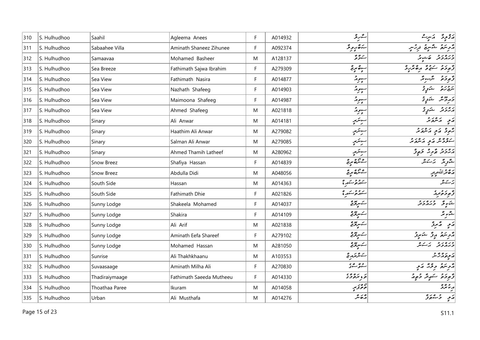| 310 | S. Hulhudhoo | Saahil         | Agleema Anees            | F         | A014932 | سەر بۇ                                                                                            | رە دۇ.<br>مەنزىقى مەسرىسى                                                                                                                                                                                                                                                                                                    |
|-----|--------------|----------------|--------------------------|-----------|---------|---------------------------------------------------------------------------------------------------|------------------------------------------------------------------------------------------------------------------------------------------------------------------------------------------------------------------------------------------------------------------------------------------------------------------------------|
| 311 | S. Hulhudhoo | Sabaahee Villa | Aminath Shaneez Zihunee  | F         | A092374 | بەئەرە ۋ                                                                                          | ە ئەتمە ئىقسى فرىسى<br>1931-يىلى ئىس ئىستىمى<br>1943-يىلى ئەسىمى                                                                                                                                                                                                                                                             |
| 312 | S. Hulhudhoo | Samaavaa       | Mohamed Basheer          | M         | A128137 | ر په په                                                                                           |                                                                                                                                                                                                                                                                                                                              |
| 313 | S. Hulhudhoo | Sea Breeze     | Fathimath Sajwa Ibrahim  | F         | A279309 | ے چھ سرچ<br>پر                                                                                    | $\begin{array}{cccc} 0 & 0 & 0 & 0 & 0 & 0 \\ 0 & 0 & 0 & 0 & 0 & 0 \\ 0 & 0 & 0 & 0 & 0 & 0 \\ 0 & 0 & 0 & 0 & 0 & 0 \\ 0 & 0 & 0 & 0 & 0 & 0 \\ 0 & 0 & 0 & 0 & 0 & 0 \\ 0 & 0 & 0 & 0 & 0 & 0 \\ 0 & 0 & 0 & 0 & 0 & 0 \\ 0 & 0 & 0 & 0 & 0 & 0 \\ 0 & 0 & 0 & 0 & 0 & 0 \\ 0 & 0 & 0 & 0 & 0 & 0 \\ 0 & 0 & 0 & 0 & 0 &$ |
| 314 | S. Hulhudhoo | Sea View       | Fathimath Nasira         | F         | A014877 | سوەر<br>ئەر                                                                                       | رُّمُوحَةُ سُنَبِيدُ                                                                                                                                                                                                                                                                                                         |
| 315 | S. Hulhudhoo | Sea View       | Nazhath Shafeeg          | F         | A014903 | سوەر<br>ئەر                                                                                       | پر در در سندور ته<br>  سرچ سر سندور ته                                                                                                                                                                                                                                                                                       |
| 316 | S. Hulhudhoo | Sea View       | Maimoona Shafeeg         | F         | A014987 | سوەر<br>ئەر                                                                                       | دروم شرو                                                                                                                                                                                                                                                                                                                     |
| 317 | S. Hulhudhoo | Sea View       | Ahmed Shafeeg            | ${\sf M}$ | A021818 | سوەر<br>ئەر                                                                                       | دەر د ھەرچ                                                                                                                                                                                                                                                                                                                   |
| 318 | S. Hulhudhoo | Sinary         | Ali Anwar                | ${\sf M}$ | A014181 | سەمىر<br>سەسىر                                                                                    |                                                                                                                                                                                                                                                                                                                              |
| 319 | S. Hulhudhoo | Sinary         | Haathim Ali Anwar        | ${\sf M}$ | A279082 | سەمىرىپە                                                                                          | بمود كمو كملوم                                                                                                                                                                                                                                                                                                               |
| 320 | S. Hulhudhoo | Sinary         | Salman Ali Anwar         | ${\sf M}$ | A279085 | سومترىير                                                                                          |                                                                                                                                                                                                                                                                                                                              |
| 321 | S. Hulhudhoo | Sinary         | Ahmed Thamih Latheef     | M         | A280962 | سومترىير                                                                                          | 7478 3787                                                                                                                                                                                                                                                                                                                    |
| 322 | S. Hulhudhoo | Snow Breez     | Shafiya Hassan           | F         | A014839 | $\overbrace{g_{\mu}^{0}}^{\circ} \overbrace{g_{\mu}^{0}}^{\circ} \overbrace{g_{\mu}^{0}}^{\circ}$ | ڪروگر کاڪس                                                                                                                                                                                                                                                                                                                   |
| 323 | S. Hulhudhoo | Snow Breez     | Abdulla Didi             | ${\sf M}$ | A048056 | ے شرک میں<br>سوسری سمی <sup>ن</sup> ے                                                             | رَةٍ قَرْاللَّهُ مَرْمَرٍ                                                                                                                                                                                                                                                                                                    |
| 324 | S. Hulhudhoo | South Side     | Hassan                   | ${\sf M}$ | A014363 | سرد و به ه                                                                                        | برسەچر                                                                                                                                                                                                                                                                                                                       |
| 325 | S. Hulhudhoo | South Side     | <b>Fathimath Dhie</b>    | F         | A021826 | سەد دېرە                                                                                          | و بر د د .<br>ژبو د و بر .                                                                                                                                                                                                                                                                                                   |
| 326 | S. Hulhudhoo | Sunny Lodge    | Shakeela Mohamed         | F         | A014037 | ڪ سرچرم<br>په                                                                                     | و ر ه ر و<br>تر پر پر تر                                                                                                                                                                                                                                                                                                     |
| 327 | S. Hulhudhoo | Sunny Lodge    | Shakira                  | F         | A014109 | ڪ سرچر <sup>0</sup><br>په سرچر <sup>ي</sup>                                                       | $\begin{array}{c c}\n\ast & \ast \\ \ast & \ast \\ \hline\n\ast & \ast \\ \hline\n\ast & \ast\n\end{array}$                                                                                                                                                                                                                  |
| 328 | S. Hulhudhoo | Sunny Lodge    | Ali Arif                 | ${\sf M}$ | A021838 | ڪ سرچر <sup>ي</sup><br>په                                                                         | ړې د پرو                                                                                                                                                                                                                                                                                                                     |
| 329 | S. Hulhudhoo | Sunny Lodge    | Aminath Eefa Shareef     | F         | A279102 | ڪ سرچرم<br>په                                                                                     | أأوسكم أراث المكبرة                                                                                                                                                                                                                                                                                                          |
| 330 | S. Hulhudhoo | Sunny Lodge    | Mohamed Hassan           | M         | A281050 | ڪ سرچر <sup>0</sup><br>په سرچر                                                                    | ورەرو برىكە                                                                                                                                                                                                                                                                                                                  |
| 331 | S. Hulhudhoo | Sunrise        | Ali Thakhkhaanu          | M         | A103553 | ستعتبره                                                                                           | ە پەيدە ئەتر                                                                                                                                                                                                                                                                                                                 |
| 332 | S. Hulhudhoo | Suvaasaage     | Aminath Milha Ali        | F         | A270830 | 2 ئەرگە ئەسىرى<br>سىقوق سىقىي                                                                     | ومحافظ وفرقه وكمو                                                                                                                                                                                                                                                                                                            |
| 333 | S. Hulhudhoo | Thadiraiymaage | Fathimath Saeeda Mutheeu | F         | A014330 | $rac{1}{5555550}$                                                                                 |                                                                                                                                                                                                                                                                                                                              |
| 334 | S. Hulhudhoo | Thoathaa Paree | Ikuram                   | ${\sf M}$ | A014058 | ج پر<br> حوځ توسي                                                                                 | وبزنده                                                                                                                                                                                                                                                                                                                       |
| 335 | S. Hulhudhoo | Urban          | Ali Musthafa             | M         | A014276 | پر <sub>ص</sub> ر                                                                                 | ړې د ه ده                                                                                                                                                                                                                                                                                                                    |
|     |              |                |                          |           |         |                                                                                                   |                                                                                                                                                                                                                                                                                                                              |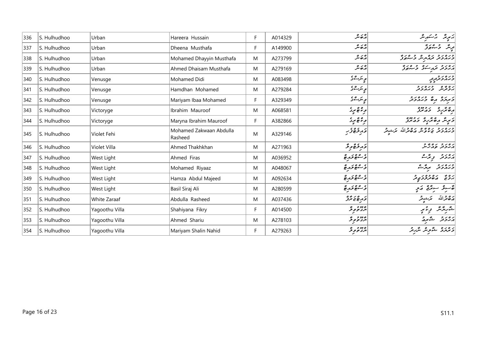| 336 | S. Hulhudhoo | Urban          | Hareera Hussain                    | F. | A014329 | ۇ ئەھەر                           | ئەبرىگە ئەسكەرىكە                            |
|-----|--------------|----------------|------------------------------------|----|---------|-----------------------------------|----------------------------------------------|
| 337 | S. Hulhudhoo | Urban          | Dheena Musthafa                    | F  | A149900 | پر <sub>ص</sub> ر                 | دیگر کر شهور                                 |
| 338 | S. Hulhudhoo | Urban          | Mohamed Dhayyin Musthafa           | M  | A273799 | پژھ سر                            | ورەر دىرە بەر دەرد                           |
| 339 | S. Hulhudhoo | Urban          | Ahmed Dhaisam Musthafa             | M  | A279169 | دئەتىر                            | رەرد تەرىبە دەرە                             |
| 340 | S. Hulhudhoo | Venusge        | Mohamed Didi                       | M  | A083498 | پر سرے بح                         | <br>  تر بر هر تر تر تر تر                   |
| 341 | S. Hulhudhoo | Venusge        | Hamdhan Mohamed                    | M  | A279284 | مويتر صميح                        | ره ده دره دو<br>بروترس وبرمروتر              |
| 342 | S. Hulhudhoo | Venusge        | Mariyam Ibaa Mohamed               | F  | A329349 | <sub>عو</sub> متر ڪيمي            | ז גם הז כנסגב<br>באתר גם כגורנ               |
| 343 | S. Hulhudhoo | Victoryge      | Ibrahim Mauroof                    | M  | A068581 | و ره ه مړنه<br>ر                  | ەر ھەترىر <i>ۋ</i><br>0, 2, 3, 4<br>ر در سرو |
| 344 | S. Hulhudhoo | Victoryge      | Maryna Ibrahim Mauroof             | F  | A382866 | ه ۵ ه مړي<br>ر                    | <i>בֿ برنڈ م</i> ھ <i>بڑ</i> و کامبرو        |
| 345 | S. Hulhudhoo | Violet Fehi    | Mohamed Zakwaan Abdulla<br>Rasheed | M  | A329146 | <br> ع <sub>ا</sub> مرځ څوکړ      | وره رو بره ده برده دالله برخور               |
| 346 | S. Hulhudhoo | Violet Villa   | Ahmed Thakhkhan                    | M  | A271963 | ى پر ئۇ ھە ئۇ                     | رەر دەرەپەر                                  |
| 347 | S. Hulhudhoo | West Light     | Ahmed Firas                        | M  | A036952 | وكسفورة                           | دەرو يەشە                                    |
| 348 | S. Hulhudhoo | West Light     | Mohamed Riyaaz                     | M  | A048067 | ې ده وړ ه<br>مربح <del>ک</del> رم | ورەر دەر                                     |
| 349 | S. Hulhudhoo | West Light     | Hamza Abdul Majeed                 | M  | A092634 | وكسفورة                           | ره په ره وه ر و<br> برونځ په مه مربور يې مر  |
| 350 | S. Hulhudhoo | West Light     | Basil Siraj Ali                    | M  | A280599 | ء ص <sub>ف مح</sub> در ۾          | ھ سو سوئرقے کرمی                             |
| 351 | S. Hulhudhoo | White Zaraaf   | Abdulla Rasheed                    | M  | A037436 | پره پر پرو                        | مَدْ هُ قَرْ اللّه تَمْ سَوْ قُرْ            |
| 352 | S. Hulhudhoo | Yagoothu Villa | Shahiyana Fikry                    | F  | A014500 | پردو و<br>بری مولوگر              | شەمەر بەر ئە<br>ويدمير                       |
| 353 | S. Hulhudhoo | Yagoothu Villa | Ahmed Shariu                       | M  | A278103 | پردو و<br>دری حرم څ               | پر ژبر و<br>شەھرەر                           |
| 354 | S. Hulhudhoo | Yagoothu Villa | Mariyam Shalin Nahid               | F  | A279263 | $\rightarrow$ 2224<br>مزی حوح محر | د ۱۵ و شو شریعه از مرد                       |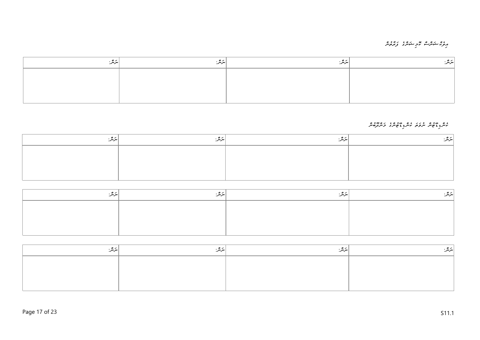## *w7qAn8m? sCw7mRo>u; wEw7mRw;sBo<*

| ' مرمر | 'يئرىثر: |
|--------|----------|
|        |          |
|        |          |
|        |          |

## *w7q9r@w7m> sCw7qHtFoFw7s; mAm=q7 w7qHtFoFw7s;*

| ىر تە | $\mathcal{O} \times$<br>$\sim$ | $\sim$<br>. . | لترنثر |
|-------|--------------------------------|---------------|--------|
|       |                                |               |        |
|       |                                |               |        |
|       |                                |               |        |

| $\frac{2}{n}$ | $\overline{\phantom{a}}$ | اير هنه. | $\mathcal{O} \times$<br>سرسر |
|---------------|--------------------------|----------|------------------------------|
|               |                          |          |                              |
|               |                          |          |                              |
|               |                          |          |                              |

| ىرتىر: | 。<br>سر سر | .,<br>مرسر |
|--------|------------|------------|
|        |            |            |
|        |            |            |
|        |            |            |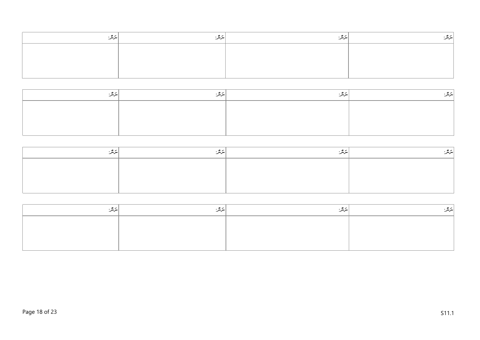| يره. | ο. | ا ير ه |  |
|------|----|--------|--|
|      |    |        |  |
|      |    |        |  |
|      |    |        |  |

| متريثر به | 。<br>'سرسر'۔ | يتزيترا | سرسر |
|-----------|--------------|---------|------|
|           |              |         |      |
|           |              |         |      |
|           |              |         |      |

| ىر تە | $\sim$ | ا بر هر: | $^{\circ}$<br>' سرسر. |
|-------|--------|----------|-----------------------|
|       |        |          |                       |
|       |        |          |                       |
|       |        |          |                       |

| 。<br>مرس. | $\overline{\phantom{a}}$<br>مر سر | يتريثر |
|-----------|-----------------------------------|--------|
|           |                                   |        |
|           |                                   |        |
|           |                                   |        |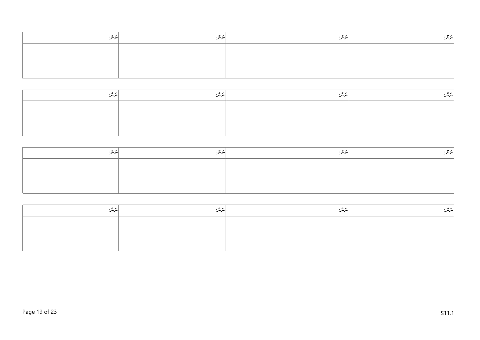| ير هو . | $\overline{\phantom{a}}$ | يرمر | اير هنه. |
|---------|--------------------------|------|----------|
|         |                          |      |          |
|         |                          |      |          |
|         |                          |      |          |

| ىبرىر. | $\sim$<br>ا سرسر . | يئرمثر | o . |
|--------|--------------------|--------|-----|
|        |                    |        |     |
|        |                    |        |     |
|        |                    |        |     |

| انترنثر: | ر ه |  |
|----------|-----|--|
|          |     |  |
|          |     |  |
|          |     |  |

|  | . ه |
|--|-----|
|  |     |
|  |     |
|  |     |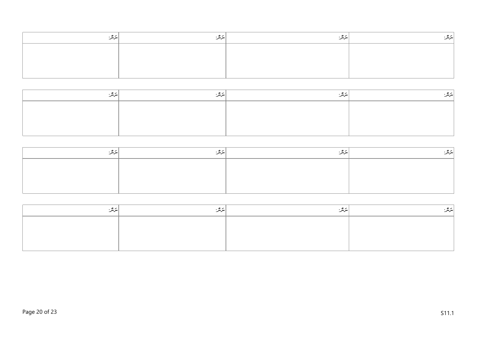| ير هو . | $\overline{\phantom{a}}$ | يرمر | اير هنه. |
|---------|--------------------------|------|----------|
|         |                          |      |          |
|         |                          |      |          |
|         |                          |      |          |

| ىبرىر. | $\sim$<br>ا سرسر . | يئرمثر | o . |
|--------|--------------------|--------|-----|
|        |                    |        |     |
|        |                    |        |     |
|        |                    |        |     |

| ىئرىتىز: | . .<br>سمرسمد. | 。 |
|----------|----------------|---|
|          |                |   |
|          |                |   |
|          |                |   |

|  | . ه |
|--|-----|
|  |     |
|  |     |
|  |     |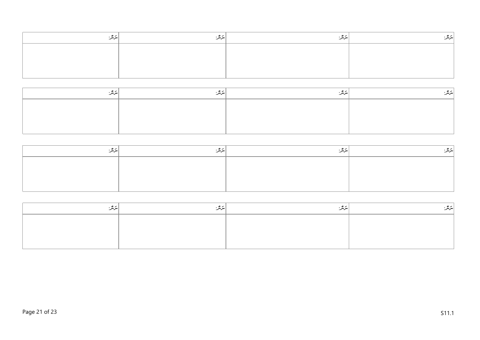| $\cdot$ | 。 | $\frac{\circ}{\cdot}$ | $\sim$<br>سرسر |
|---------|---|-----------------------|----------------|
|         |   |                       |                |
|         |   |                       |                |
|         |   |                       |                |

| ايرعر: | ر ه<br>. . |  |
|--------|------------|--|
|        |            |  |
|        |            |  |
|        |            |  |

| بر ه | . ه | $\sim$<br>سرسر |  |
|------|-----|----------------|--|
|      |     |                |  |
|      |     |                |  |
|      |     |                |  |

| 。<br>. س | ىرىىر |  |
|----------|-------|--|
|          |       |  |
|          |       |  |
|          |       |  |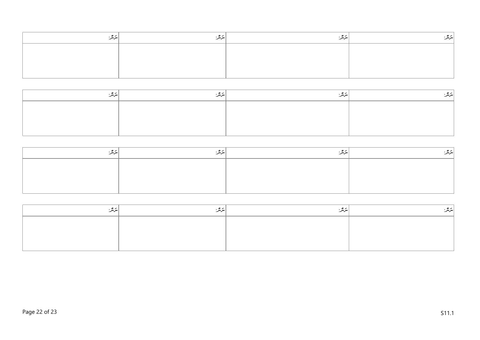| ير هو . | $\overline{\phantom{a}}$ | يرمر | اير هنه. |
|---------|--------------------------|------|----------|
|         |                          |      |          |
|         |                          |      |          |
|         |                          |      |          |

| ىبرىر. | $\sim$<br>ا سرسر . | يئرمثر | o . |
|--------|--------------------|--------|-----|
|        |                    |        |     |
|        |                    |        |     |
|        |                    |        |     |

| 。 | . .<br>سمرسمد. | ىئرىتىز: |
|---|----------------|----------|
|   |                |          |
|   |                |          |
|   |                |          |

|  | . ه |
|--|-----|
|  |     |
|  |     |
|  |     |